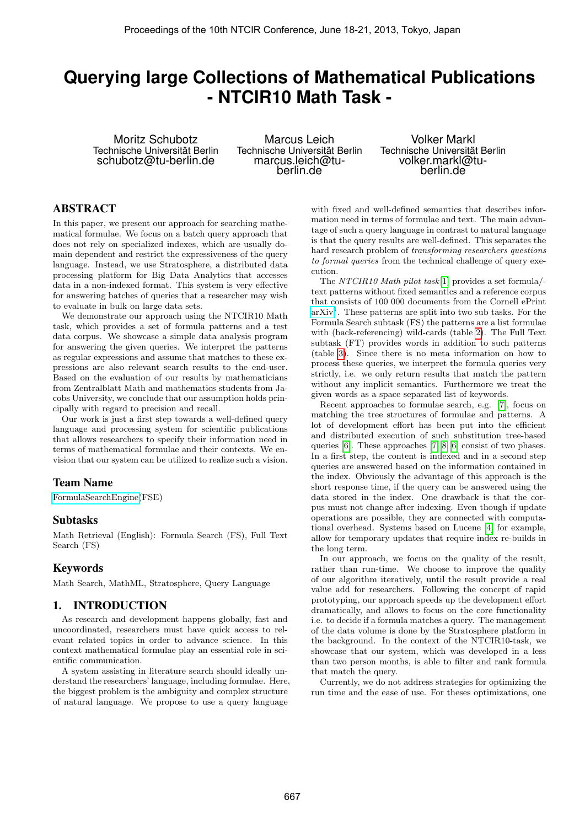# **Querying large Collections of Mathematical Publications - NTCIR10 Math Task -**

Moritz Schubotz Technische Universität Berlin schubotz@tu-berlin.de

Marcus Leich Technische Universität Berlin marcus.leich@tuberlin.de

Volker Markl Technische Universität Berlin volker.markl@tuberlin.de

# ABSTRACT

In this paper, we present our approach for searching mathematical formulae. We focus on a batch query approach that does not rely on specialized indexes, which are usually domain dependent and restrict the expressiveness of the query language. Instead, we use Stratosphere, a distributed data processing platform for Big Data Analytics that accesses data in a non-indexed format. This system is very effective for answering batches of queries that a researcher may wish to evaluate in bulk on large data sets.

We demonstrate our approach using the NTCIR10 Math task, which provides a set of formula patterns and a test data corpus. We showcase a simple data analysis program for answering the given queries. We interpret the patterns as regular expressions and assume that matches to these expressions are also relevant search results to the end-user. Based on the evaluation of our results by mathematicians from Zentralblatt Math and mathematics students from Jacobs University, we conclude that our assumption holds principally with regard to precision and recall.

Our work is just a first step towards a well-defined query language and processing system for scientific publications that allows researchers to specify their information need in terms of mathematical formulae and their contexts. We envision that our system can be utilized to realize such a vision.

## Team Name

[FormulaSearchEngine\(](http://www.formulasearchengine.com)FSE)

## Subtasks

Math Retrieval (English): Formula Search (FS), Full Text Search (FS)

# Keywords

Math Search, MathML, Stratosphere, Query Language

## 1. INTRODUCTION

As research and development happens globally, fast and uncoordinated, researchers must have quick access to relevant related topics in order to advance science. In this context mathematical formulae play an essential role in scientific communication.

A system assisting in literature search should ideally understand the researchers' language, including formulae. Here, the biggest problem is the ambiguity and complex structure of natural language. We propose to use a query language

with fixed and well-defined semantics that describes information need in terms of formulae and text. The main advantage of such a query language in contrast to natural language is that the query results are well-defined. This separates the hard research problem of transforming researchers questions to formal queries from the technical challenge of query execution.

The NTCIR10 Math pilot task[\[1\]](#page-5-0) provides a set formula/ text patterns without fixed semantics and a reference corpus that consists of 100 000 documents from the Cornell ePrint  $arXiv<sup>1</sup>$  $arXiv<sup>1</sup>$ . These patterns are split into two sub tasks. For the Formula Search subtask (FS) the patterns are a list formulae with (back-referencing) wild-cards (table [2\)](#page-6-0). The Full Text subtask (FT) provides words in addition to such patterns (table [3\)](#page-7-0). Since there is no meta information on how to process these queries, we interpret the formula queries very strictly, i.e. we only return results that match the pattern without any implicit semantics. Furthermore we treat the given words as a space separated list of keywords.

Recent approaches to formulae search, e.g. [\[7\]](#page-5-1), focus on matching the tree structures of formulae and patterns. A lot of development effort has been put into the efficient and distributed execution of such substitution tree-based queries [\[6\]](#page-5-2). These approaches [\[7,](#page-5-1) [8,](#page-5-3) [6\]](#page-5-2) consist of two phases. In a first step, the content is indexed and in a second step queries are answered based on the information contained in the index. Obviously the advantage of this approach is the short response time, if the query can be answered using the data stored in the index. One drawback is that the corpus must not change after indexing. Even though if update operations are possible, they are connected with computational overhead. Systems based on Lucene [\[4\]](#page-5-4) for example, allow for temporary updates that require index re-builds in the long term.

In our approach, we focus on the quality of the result, rather than run-time. We choose to improve the quality of our algorithm iteratively, until the result provide a real value add for researchers. Following the concept of rapid prototyping, our approach speeds up the development effort dramatically, and allows to focus on the core functionality i.e. to decide if a formula matches a query. The management of the data volume is done by the Stratosphere platform in the background. In the context of the NTCIR10-task, we showcase that our system, which was developed in a less than two person months, is able to filter and rank formula that match the query.

Currently, we do not address strategies for optimizing the run time and the ease of use. For theses optimizations, one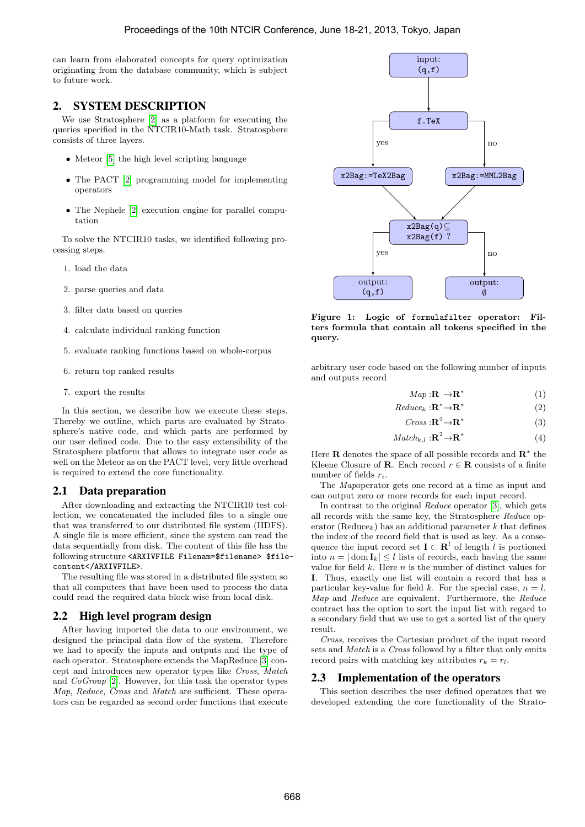can learn from elaborated concepts for query optimization originating from the database community, which is subject to future work.

# 2. SYSTEM DESCRIPTION

We use Stratosphere [\[2\]](#page-5-5) as a platform for executing the queries specified in the NTCIR10-Math task. Stratosphere consists of three layers.

- Meteor [\[5\]](#page-5-6) the high level scripting language
- The PACT [\[2\]](#page-5-5) programming model for implementing operators
- The Nephele [\[2\]](#page-5-5) execution engine for parallel computation

To solve the NTCIR10 tasks, we identified following processing steps.

- 1. load the data
- 2. parse queries and data
- 3. filter data based on queries
- 4. calculate individual ranking function
- 5. evaluate ranking functions based on whole-corpus
- 6. return top ranked results
- 7. export the results

In this section, we describe how we execute these steps. Thereby we outline, which parts are evaluated by Stratosphere's native code, and which parts are performed by our user defined code. Due to the easy extensibility of the Stratosphere platform that allows to integrate user code as well on the Meteor as on the PACT level, very little overhead is required to extend the core functionality.

# 2.1 Data preparation

After downloading and extracting the NTCIR10 test collection, we concatenated the included files to a single one that was transferred to our distributed file system (HDFS). A single file is more efficient, since the system can read the data sequentially from disk. The content of this file has the following structure <ARXIVFILE Filenam=\$filename> \$filecontent</ARXIVFILE>.

The resulting file was stored in a distributed file system so that all computers that have been used to process the data could read the required data block wise from local disk.

# 2.2 High level program design

After having imported the data to our environment, we designed the principal data flow of the system. Therefore we had to specify the inputs and outputs and the type of each operator. Stratosphere extends the MapReduce [\[3\]](#page-5-7) concept and introduces new operator types like Cross, Match and CoGroup [\[2\]](#page-5-5). However, for this task the operator types Map, Reduce, Cross and Match are sufficient. These operators can be regarded as second order functions that execute



<span id="page-1-0"></span>Figure 1: Logic of formulafilter operator: Filters formula that contain all tokens specified in the query.

arbitrary user code based on the following number of inputs and outputs record

> $Map: \mathbf{R} \rightarrow \mathbf{R}^*$ (1)

 $Reduce_k : \mathbf{R}^* {\rightarrow} \mathbf{R}^*$ (2)

$$
Cross: \mathbf{R}^2 \to \mathbf{R}^* \tag{3}
$$

$$
Match_{k,l} : \mathbf{R}^2 \to \mathbf{R}^*
$$
 (4)

Here **R** denotes the space of all possible records and  $\mathbb{R}^*$  the Kleene Closure of **R**. Each record  $r \in \mathbb{R}$  consists of a finite number of fields  $r_i$ .

The Mapoperator gets one record at a time as input and can output zero or more records for each input record.

In contrast to the original Reduce operator [\[3\]](#page-5-7), which gets all records with the same key, the Stratosphere Reduce operator (Reduce<sub>k</sub>) has an additional parameter k that defines the index of the record field that is used as key. As a consequence the input record set  $\mathbf{I} \subset \mathbf{R}^l$  of length l is portioned into  $n = |\text{dom } \mathbf{I}_k| \leq l$  lists of records, each having the same value for field  $k$ . Here  $n$  is the number of distinct values for I. Thus, exactly one list will contain a record that has a particular key-value for field k. For the special case,  $n = l$ , Map and Reduce are equivalent. Furthermore, the Reduce contract has the option to sort the input list with regard to a secondary field that we use to get a sorted list of the query result.

Cross, receives the Cartesian product of the input record sets and *Match* is a *Cross* followed by a filter that only emits record pairs with matching key attributes  $r_k = r_l$ .

# 2.3 Implementation of the operators

This section describes the user defined operators that we developed extending the core functionality of the Strato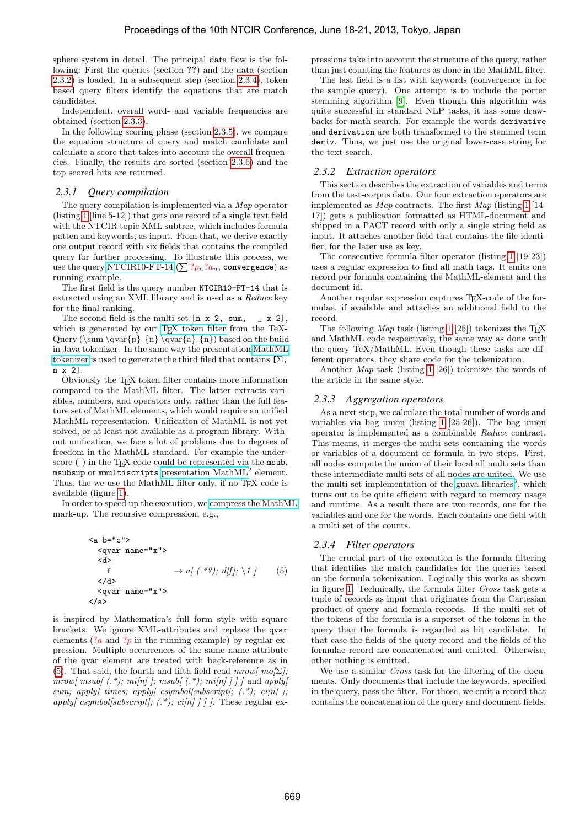sphere system in detail. The principal data flow is the following: First the queries (section ??) and the data (section [2.3.2\)](#page-2-0) is loaded. In a subsequent step (section [2.3.4\)](#page-2-1), token based query filters identify the equations that are match candidates.

Independent, overall word- and variable frequencies are obtained (section [2.3.3\)](#page-2-2).

In the following scoring phase (section [2.3.5\)](#page-3-0), we compare the equation structure of query and match candidate and calculate a score that takes into account the overall frequencies. Finally, the results are sorted (section [2.3.6\)](#page-3-1) and the top scored hits are returned.

## <span id="page-2-4"></span>*2.3.1 Query compilation*

The query compilation is implemented via a Map operator (listing [1](#page-3-2) [line 5-12]) that gets one record of a single text field with the NTCIR topic XML subtree, which includes formula patten and keywords, as input. From that, we derive exactly one output record with six fields that contains the compiled query for further processing. To illustrate this process, we use the query [NTCIR10-FT-14](http://www.formulasearchengine.com/ntcir10-math/results/FT/NTCIR10-FT-14) ( $\sum ?p_n?a_n$ , convergence) as running example.

The first field is the query number NTCIR10-FT-14 that is extracted using an XML library and is used as a Reduce key for the final ranking.

The second field is the multi set  $[n \times 2, \text{ sum}, \quad x \times 2]$ , which is generated by our [TEX token filter](http://www.formulasearchengine.com/ntcir10-math/system/tex-tokenizer) from the TeX-Query ( $\sum \sqrt{p}$  {n} \qvar{a} {n}) based on the build in Java tokenizer. In the same way the presentation [MathML](http://www.formulasearchengine.com/ntcir10-math/system/presentation-mathml-tokenizer) [tokenizer](http://www.formulasearchengine.com/ntcir10-math/system/presentation-mathml-tokenizer) is used to generate the third filed that contains  $[\Sigma,$ n x 2].

Obviously the TEX token filter contains more information compared to the MathML filter. The latter extracts variables, numbers, and operators only, rather than the full feature set of MathML elements, which would require an unified MathML representation. Unification of MathML is not yet solved, or at least not available as a program library. Without unification, we face a lot of problems due to degrees of freedom in the MathML standard. For example the underscore  $(\_)$  in the T<sub>F</sub>X code could be represented via the msub, msubsup or mmultiscripts presentation  $\text{MathML}^2$  element. Thus, the we use the MathML filter only, if no T<sub>E</sub>X-code is available (figure [1\)](#page-1-0).

In order to speed up the execution, we [compress the MathML](http://www.formulasearchengine.com/ntcir10-math/system/mathml-compression) mark-up. The recursive compression, e.g.,

$$
\begin{array}{ll}\n\text{\\
\text{ \\
\text{ \\
\text{f} > a\[ \( . \* ? \); d\[f\]; \setminus 1 \] \qquad \(5\) \\
\text{\n\end{array}
$$

is inspired by Mathematica's full form style with square brackets. We ignore XML-attributes and replace the qvar elements  $(2a \text{ and } 2p \text{ in the running example})$  by regular expression. Multiple occurrences of the same name attribute of the qvar element are treated with back-reference as in [\(5\)](#page-2-3). That said, the fourth and fifth field read mrow[ $mo[\Sigma]$ ; mrow[ msub[  $(.*)$ ; mi[n] ]; msub[  $(.*)$ ; mi[n] ] ] ] and apply[ sum; apply[ times; apply[ csymbol[subscript];  $(.*)$ ; ci[n] ]; apply[ csymbol[subscript]; (.\*); ci[n] ]]. These regular expressions take into account the structure of the query, rather than just counting the features as done in the MathML filter.

The last field is a list with keywords (convergence in for the sample query). One attempt is to include the porter stemming algorithm [\[9\]](#page-5-8). Even though this algorithm was quite successful in standard NLP tasks, it has some drawbacks for math search. For example the words derivative and derivation are both transformed to the stemmed term deriv. Thus, we just use the original lower-case string for the text search.

## <span id="page-2-0"></span>*2.3.2 Extraction operators*

This section describes the extraction of variables and terms from the test-corpus data. Our four extraction operators are implemented as Map contracts. The first Map (listing [1](#page-3-2) [14- 17]) gets a publication formatted as HTML-document and shipped in a PACT record with only a single string field as input. It attaches another field that contains the file identifier, for the later use as key.

The consecutive formula filter operator (listing [1](#page-3-2) [19-23]) uses a regular expression to find all math tags. It emits one record per formula containing the MathML-element and the document id.

Another regular expression captures T<sub>E</sub>X-code of the formulae, if available and attaches an additional field to the record.

The following  $Map$  task (listing [1](#page-3-2) [25]) tokenizes the T<sub>E</sub>X and MathML code respectively, the same way as done with the query TeX/MathML. Even though these tasks are different operators, they share code for the tokenization.

Another Map task (listing [1](#page-3-2) [26]) tokenizes the words of the article in the same style.

## <span id="page-2-2"></span>*2.3.3 Aggregation operators*

As a next step, we calculate the total number of words and variables via bag union (listing [1](#page-3-2) [25-26]). The bag union operator is implemented as a combinable Reduce contract. This means, it merges the multi sets containing the words or variables of a document or formula in two steps. First, all nodes compute the union of their local all multi sets than these intermediate multi sets of all nodes are united. We use the multi set implementation of the [guava libraries](http://code.google.com/p/guava-libraries/)<sup>3</sup>, which turns out to be quite efficient with regard to memory usage and runtime. As a result there are two records, one for the variables and one for the words. Each contains one field with a multi set of the counts.

# <span id="page-2-1"></span>*2.3.4 Filter operators*

<span id="page-2-3"></span>The crucial part of the execution is the formula filtering that identifies the match candidates for the queries based on the formula tokenization. Logically this works as shown in figure [1.](#page-1-0) Technically, the formula filter Cross task gets a tuple of records as input that originates from the Cartesian product of query and formula records. If the multi set of the tokens of the formula is a superset of the tokens in the query than the formula is regarded as hit candidate. In that case the fields of the query record and the fields of the formulae record are concatenated and emitted. Otherwise, other nothing is emitted.

We use a similar *Cross* task for the filtering of the documents. Only documents that include the keywords, specified in the query, pass the filter. For those, we emit a record that contains the concatenation of the query and document fields.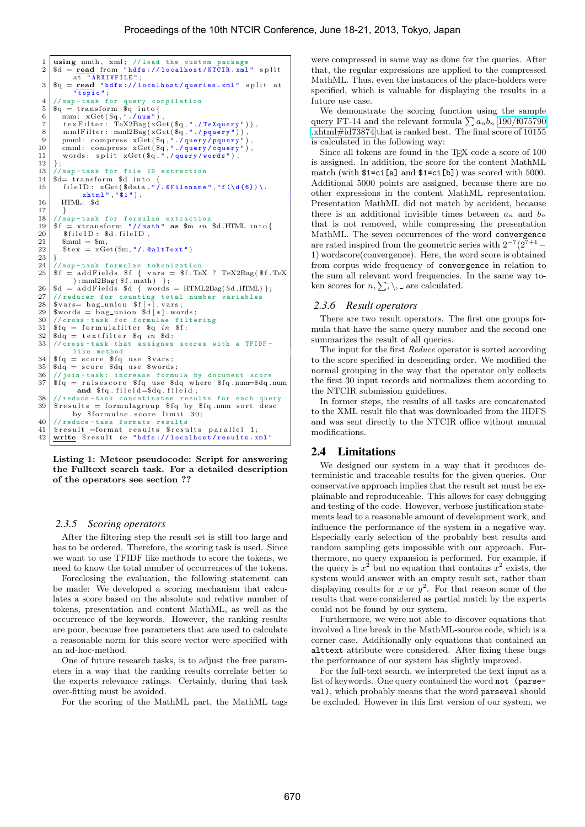```
1 | using math, xml; //load the custom package<br>2 | $d = <u>read</u> from "hdfs://localhost/NTCIR.xml" split
                a t " ARX I V F I L E";
  3 \mid \text{$q = \text{read} "hdfs://localhost/queries.xml" split at
                   \overline{\texttt{topic}} ";
  4 //map-task for query compilation
  5 \mid \bb{S}q = \text{transform} \ \ \text{$\text{S}q$} \ \ \text{into} \{
  6 | num : xGet(\text{\textsterling} q, "./num"),
  \begin{array}{ll} 7 & \text{t ex Fitter}: \text{TeV} & \text{X2Bag} & (\text{XGet}(\text{Sq}, \text{".} / \text{TeV} \text{)]}, \\ 8 & \text{mmlFitter}: \text{ mml2Bag} & (\text{XGet}(\text{Sq}, \text{".} / \text{query " })), \end{array}8 mm lF i l t e r : mml2Bag ( xGet ( $q , " ./ p q u e r y " ) ) ,
9 pmml: compress xGet($q,"./query/pquery"),<br>10 cmml: compress xGet($q,"./query/cquery"),
11 words: \text{split} \text{xGet}(\mathcal{A}, \mathcal{A}) are \text{yives}, \text{yides}, \text{yides}\begin{array}{c} 12 \\ 13 \end{array} }
13 //map-task for file ID extraction<br>14 $d= transform $d into {
15 file ID : xGet ($data, "\lambda. @Filename", "f (\d{6}) \.
16 \quad \text{HTML: } \$d17 }
18 \frac{18}{19} //map-task for formulae extraction<br>19 $f = xtransform "//math" as $m in $d.HTML into{
\begin{array}{c|c}\n 20 & \text{$fileID: $\$d$}. \text{fileID}, \\
 21 & \text{$mm1 = $m}\n\end{array}$mml = $m$.
22 \left| \quad \text{Stex} \right| = x \cdot \text{Get}(\text{$m, "/.\text{QaltText}"})\frac{23}{24}24 //map-task formulae tokenization<br>25 \frac{24}{15} f = addFields $f { vars = $f.Te
       if = add Fields if \{ vars = $f.TeX ? TeX2Bag ($f.TeX\{ ) : mml2Bag( $f. math) \};
26 \frac{1}{3} \frac{1}{4} \frac{1}{27} \frac{1}{4} \frac{1}{27} \frac{1}{4} \frac{1}{27} \frac{1}{4} \frac{1}{27} \frac{1}{4} \frac{1}{4} \frac{1}{4} \frac{1}{4} \frac{1}{4} \frac{1}{4} \frac{1}{4} \frac{1}{4} \frac{1}{4} \frac{1}{4} \frac{1}{4} \frac{1}{4} \frac{27 // reducer for counting total number variables<br>28 $vars= bag_union $f[*].vars;
29 \frac{1}{30} swords = bag union \frac{1}{30} //cross - task for formulae filter
\begin{array}{c|c} 30 & // \text{cross-task for formulae filtering} \\ 31 & \text{fig = formulafilter} \\ 86 & \text{if} \end{array}$fq = formulafilter $q in $ff;32 $dq = t e x t f i l t e r $q in $d ;
33 // cross-task that assignes scores with a TFIDF-
               like method
34 \mid \text{$fq = score $fq$ use $vars$};35 \left| \text{{}^s\text{d}q} \right| = \text{score } \text{{}^s\text{d}q} use \text{{}^s\text{words}};<br>36 \left| \text{{} \text{/} \text{/} \text{join} \text{task}} \right|; increase formu
36 \frac{\sqrt{3}}{\$fq = \text{raisescore} \$fq \text{use} to r} and 37 \frac{\$fq = \text{raisescore} \$fq \text{use} to r}$f q = raisescore $fq use $dq where $fq.num=$dq.num
                 and f(q. file id = 6dq. file id;38 // reduce-task concatinates results for each query
39 \left| \begin{array}{l} \text{\$results = formulagroup \$fq by $fq .num sort desc} \\ \text{by $formulae.score limit $30$}; \end{array} \right.40 // reduce-task formats results<br>41 $result = format results $resu
                                                           $ results parallel 1;
42 \vert write $ result to "hdfs://localhost/results.xml"
```
Listing 1: Meteor pseudocode: Script for answering the Fulltext search task. For a detailed description of the operators see section ??

#### <span id="page-3-0"></span>*2.3.5 Scoring operators*

After the filtering step the result set is still too large and has to be ordered. Therefore, the scoring task is used. Since we want to use TFIDF like methods to score the tokens, we need to know the total number of occurrences of the tokens.

Foreclosing the evaluation, the following statement can be made: We developed a scoring mechanism that calculates a score based on the absolute and relative number of tokens, presentation and content MathML, as well as the occurrence of the keywords. However, the ranking results are poor, because free parameters that are used to calculate a reasonable norm for this score vector were specified with an ad-hoc-method.

One of future research tasks, is to adjust the free parameters in a way that the ranking results correlate better to the experts relevance ratings. Certainly, during that task over-fitting must be avoided.

For the scoring of the MathML part, the MathML tags

were compressed in same way as done for the queries. After that, the regular expressions are applied to the compressed MathML. Thus, even the instances of the place-holders were specified, which is valuable for displaying the results in a future use case.

We demonstrate the scoring function using the sample query FT-14 and the relevant formula  $\sum a_n b_n$  [190/f075790](http://www.formulasearchengine.com/ntcir10-math/results/FT/NTCIR10-FT-14#id73874) [.xhtml#id73874](http://www.formulasearchengine.com/ntcir10-math/results/FT/NTCIR10-FT-14#id73874) that is ranked best. The final score of 10155 is calculated in the following way:

Since all tokens are found in the TEX-code a score of 100 is assigned. In addition, the score for the content MathML match (with \$1=ci[a] and \$1=ci[b]) was scored with 5000. Additional 5000 points are assigned, because there are no other expressions in the content MathML representation. Presentation MathML did not match by accident, because there is an additional invisible times between  $a_n$  and  $b_n$ that is not removed, while compressing the presentation MathML. The seven occurrences of the word convergence are rated inspired from the geometric series with  $2^{-7}(2^{7+1}-$ 1) wordscore(convergence). Here, the word score is obtained from corpus wide frequency of convergence in relation to the sum all relevant word frequencies. In the same way token scores for  $n, \sum, \setminus, \Delta$  are calculated.

#### <span id="page-3-1"></span>*2.3.6 Result operators*

There are two result operators. The first one groups formula that have the same query number and the second one summarizes the result of all queries.

The input for the first Reduce operator is sorted according to the score specified in descending order. We modified the normal grouping in the way that the operator only collects the first 30 input records and normalizes them according to the NTCIR submission guidelines.

In former steps, the results of all tasks are concatenated to the XML result file that was downloaded from the HDFS and was sent directly to the NTCIR office without manual modifications.

## 2.4 Limitations

We designed our system in a way that it produces deterministic and traceable results for the given queries. Our conservative approach implies that the result set must be explainable and reproduceable. This allows for easy debugging and testing of the code. However, verbose justification statements lead to a reasonable amount of development work, and influence the performance of the system in a negative way. Especially early selection of the probably best results and random sampling gets impossible with our approach. Furthermore, no query expansion is performed. For example, if the query is  $x^2$  but no equation that contains  $x^2$  exists, the system would answer with an empty result set, rather than displaying results for x or  $y^2$ . For that reason some of the results that were considered as partial match by the experts could not be found by our system.

Furthermore, we were not able to discover equations that involved a line break in the MathML-source code, which is a corner case. Additionally only equations that contained an alttext attribute were considered. After fixing these bugs the performance of our system has slightly improved.

For the full-text search, we interpreted the text input as a list of keywords. One query contained the word not (parseval), which probably means that the word parseval should be excluded. However in this first version of our system, we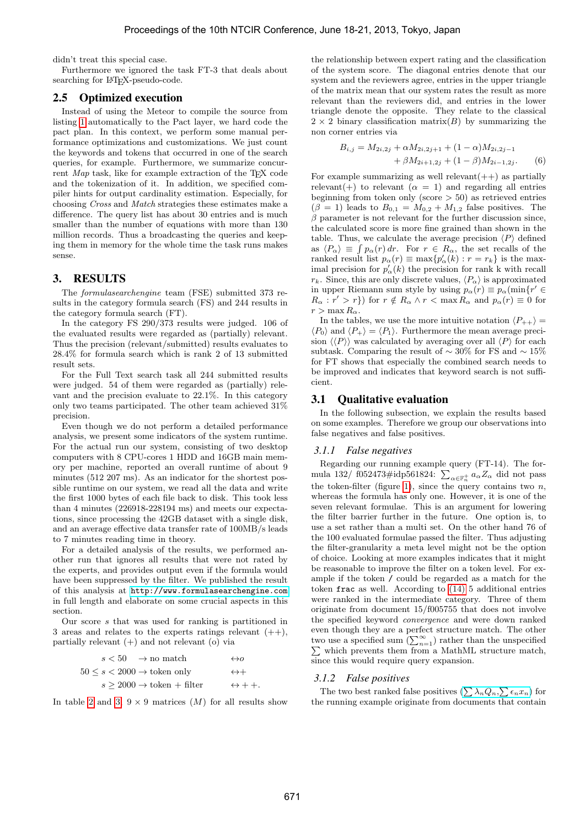didn't treat this special case.

Furthermore we ignored the task FT-3 that deals about searching for L<sup>AT</sup>EX-pseudo-code.

### 2.5 Optimized execution

Instead of using the Meteor to compile the source from listing [1](#page-3-2) automatically to the Pact layer, we hard code the pact plan. In this context, we perform some manual performance optimizations and customizations. We just count the keywords and tokens that occurred in one of the search queries, for example. Furthermore, we summarize concurrent Map task, like for example extraction of the T<sub>E</sub>X code and the tokenization of it. In addition, we specified compiler hints for output cardinality estimation. Especially, for choosing Cross and Match strategies these estimates make a difference. The query list has about 30 entries and is much smaller than the number of equations with more than 130 million records. Thus a broadcasting the queries and keeping them in memory for the whole time the task runs makes sense.

## 3. RESULTS

The formulasearchengine team (FSE) submitted 373 results in the category formula search (FS) and 244 results in the category formula search (FT).

In the category FS 290/373 results were judged. 106 of the evaluated results were regarded as (partially) relevant. Thus the precision (relevant/submitted) results evaluates to 28.4% for formula search which is rank 2 of 13 submitted result sets.

For the Full Text search task all 244 submitted results were judged. 54 of them were regarded as (partially) relevant and the precision evaluate to 22.1%. In this category only two teams participated. The other team achieved 31% precision.

Even though we do not perform a detailed performance analysis, we present some indicators of the system runtime. For the actual run our system, consisting of two desktop computers with 8 CPU-cores 1 HDD and 16GB main memory per machine, reported an overall runtime of about 9 minutes (512 207 ms). As an indicator for the shortest possible runtime on our system, we read all the data and write the first 1000 bytes of each file back to disk. This took less than 4 minutes (226918-228194 ms) and meets our expectations, since processing the 42GB dataset with a single disk, and an average effective data transfer rate of 100MB/s leads to 7 minutes reading time in theory.

For a detailed analysis of the results, we performed another run that ignores all results that were not rated by the experts, and provides output even if the formula would have been suppressed by the filter. We published the result of this analysis at <http://www.formulasearchengine.com> in full length and elaborate on some crucial aspects in this section.

Our score s that was used for ranking is partitioned in 3 areas and relates to the experts ratings relevant  $(++)$ , partially relevant  $(+)$  and not relevant  $(0)$  via

| $s < 50 \rightarrow \text{no match}$                | $\leftrightarrow o$    |
|-----------------------------------------------------|------------------------|
| $50 \leq s < 2000 \rightarrow$ token only           | $\leftrightarrow +$    |
| $s > 2000 \rightarrow \text{token} + \text{filter}$ | $\leftrightarrow$ + +. |

In table [2](#page-6-0) and [3,](#page-7-0)  $9 \times 9$  matrices  $(M)$  for all results show

the relationship between expert rating and the classification of the system score. The diagonal entries denote that our system and the reviewers agree, entries in the upper triangle of the matrix mean that our system rates the result as more relevant than the reviewers did, and entries in the lower triangle denote the opposite. They relate to the classical  $2 \times 2$  binary classification matrix(B) by summarizing the non corner entries via

$$
B_{i,j} = M_{2i,2j} + \alpha M_{2i,2j+1} + (1 - \alpha) M_{2i,2j-1} + \beta M_{2i+1,2j} + (1 - \beta) M_{2i-1,2j}.
$$
 (6)

For example summarizing as well relevant  $(++)$  as partially relevant(+) to relevant ( $\alpha = 1$ ) and regarding all entries beginning from token only (score  $>$  50) as retrieved entries  $(\beta = 1)$  leads to  $B_{0,1} = M_{0,2} + M_{1,2}$  false positives. The  $\beta$  parameter is not relevant for the further discussion since, the calculated score is more fine grained than shown in the table. Thus, we calculate the average precision  $\langle P \rangle$  defined as  $\langle P_{\alpha} \rangle \equiv \int p_{\alpha}(r) dr$ . For  $r \in R_{\alpha}$ , the set recalls of the ranked result list  $p_{\alpha}(r) \equiv \max\{p'_{\alpha}(k) : r = r_{k}\}\)$  is the maximal precision for  $p'_{\alpha}(k)$  the precision for rank k with recall  $r_k$ . Since, this are only discrete values,  $\langle P_\alpha \rangle$  is approximated in upper Riemann sum style by using  $p_{\alpha}(r) \equiv p_{\alpha}(\min\{r' \in$  $R_{\alpha} : r' > r$ }) for  $r \notin R_{\alpha} \wedge r < \max R_{\alpha}$  and  $p_{\alpha}(r) \equiv 0$  for  $r > \max R_{\alpha}$ .

In the tables, we use the more intuitive notation  $\langle P_{++} \rangle =$  $\langle P_0 \rangle$  and  $\langle P_+ \rangle = \langle P_1 \rangle$ . Furthermore the mean average precision  $\langle P \rangle$  was calculated by averaging over all  $\langle P \rangle$  for each subtask. Comparing the result of  $\sim 30\%$  for FS and  $\sim 15\%$ for FT shows that especially the combined search needs to be improved and indicates that keyword search is not sufficient.

### 3.1 Qualitative evaluation

In the following subsection, we explain the results based on some examples. Therefore we group our observations into false negatives and false positives.

#### *3.1.1 False negatives*

Regarding our running example query (FT-14). The formula 132/ f052473#idp561824:  $\sum_{\alpha \in \mathbb{F}_n^+} a_{\alpha} Z_{\alpha}$  did not pass the token-filter (figure [1\)](#page-1-0), since the query contains two  $n$ , whereas the formula has only one. However, it is one of the seven relevant formulae. This is an argument for lowering the filter barrier further in the future. One option is, to use a set rather than a multi set. On the other hand 76 of the 100 evaluated formulae passed the filter. Thus adjusting the filter-granularity a meta level might not be the option of choice. Looking at more examples indicates that it might be reasonable to improve the filter on a token level. For example if the token / could be regarded as a match for the token frac as well. According to [\(14\)](#page-7-1) 5 additional entries were ranked in the intermediate category. Three of them originate from document 15/f005755 that does not involve the specified keyword convergence and were down ranked even though they are a perfect structure match. The other two use a specified sum  $\left(\sum_{n=1}^{\infty}\right)$  rather than the unspecified which prevents them from a MathML structure match, since this would require query expansion.

## *3.1.2 False positives*

The two best ranked false positives  $(\sum_{n} \lambda_n Q_n, \sum_{n} \epsilon_n x_n)$  for the running example originate from documents that contain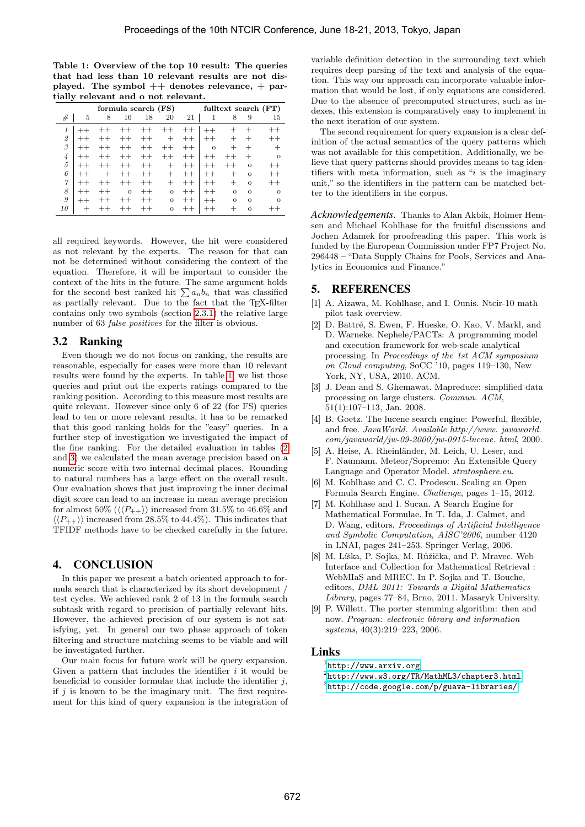<span id="page-5-9"></span>Table 1: Overview of the top 10 result: The queries that had less than 10 relevant results are not displayed. The symbol  $++$  denotes relevance,  $+$  partially relevant and o not relevant.

| formula search (FS) |         |       |         |         |         |         |          |         | fulltext search (FT) |          |
|---------------------|---------|-------|---------|---------|---------|---------|----------|---------|----------------------|----------|
| #                   | 5       | 8     | 16      | 18      | 20      | 21      | 1        | 8       | 9                    | 15       |
| 1                   |         |       |         |         |         |         |          |         |                      | $^{++}$  |
| 2                   |         |       | $^{++}$ | $^{++}$ |         | $^{++}$ |          |         |                      | $^{++}$  |
| 3                   |         |       | $+ +$   | $^{++}$ | $^{++}$ | $^{++}$ | $\Omega$ | $^+$    |                      |          |
| 4                   |         |       |         |         |         | $^{++}$ |          |         |                      | $\circ$  |
| 5                   | $+ +$   |       | $+ +$   | $^{++}$ |         |         |          |         | $\Omega$             |          |
| 6                   | $+ +$   |       | $+ +$   | $^{++}$ |         | $^{++}$ | $^{++}$  | -       | $\Omega$             |          |
| $\gamma$            | $+ +$   |       | $+ +$   | $^{++}$ | $\div$  | $^{++}$ | $^{++}$  | +       | $\Omega$             | $+ +$    |
| 8                   | $+ +$   | $+ +$ | $\circ$ | $^{++}$ | $\circ$ | $^{++}$ | $^{++}$  | $\circ$ | $\Omega$             | $\Omega$ |
| 9                   | $^{++}$ |       |         | $^{++}$ | $\circ$ | $^{++}$ | $^{++}$  | $\circ$ | $\Omega$             | $\Omega$ |
| 10                  |         |       | $^{++}$ | $^{++}$ | $\circ$ | $+ +$   | $^{++}$  | $^+$    | $\Omega$             |          |

all required keywords. However, the hit were considered as not relevant by the experts. The reason for that can not be determined without considering the context of the equation. Therefore, it will be important to consider the context of the hits in the future. The same argument holds for the second best ranked hit  $\sum a_n b_n$  that was classified as partially relevant. Due to the fact that the TEX-filter contains only two symbols (section [2.3.1\)](#page-2-4) the relative large number of 63 false positives for the filter is obvious.

# 3.2 Ranking

Even though we do not focus on ranking, the results are reasonable, especially for cases were more than 10 relevant results were found by the experts. In table [1,](#page-5-9) we list those queries and print out the experts ratings compared to the ranking position. According to this measure most results are quite relevant. However since only 6 of 22 (for FS) queries lead to ten or more relevant results, it has to be remarked that this good ranking holds for the "easy" queries. In a further step of investigation we investigated the impact of the fine ranking. For the detailed evaluation in tables [\(2](#page-6-0) and [3\)](#page-7-0) we calculated the mean average precision based on a numeric score with two internal decimal places. Rounding to natural numbers has a large effect on the overall result. Our evaluation shows that just improving the inner decimal digit score can lead to an increase in mean average precision for almost 50% ( $\langle \langle P_{++} \rangle$ ) increased from 31.5% to 46.6% and  $\langle \langle P_{++} \rangle \rangle$  increased from 28.5% to 44.4%). This indicates that TFIDF methods have to be checked carefully in the future.

# 4. CONCLUSION

In this paper we present a batch oriented approach to formula search that is characterized by its short development / test cycles. We achieved rank 2 of 13 in the formula search subtask with regard to precision of partially relevant hits. However, the achieved precision of our system is not satisfying, yet. In general our two phase approach of token filtering and structure matching seems to be viable and will be investigated further.

Our main focus for future work will be query expansion. Given a pattern that includes the identifier  $i$  it would be beneficial to consider formulae that include the identifier  $j$ , if  $j$  is known to be the imaginary unit. The first requirement for this kind of query expansion is the integration of

variable definition detection in the surrounding text which requires deep parsing of the text and analysis of the equation. This way our approach can incorporate valuable information that would be lost, if only equations are considered. Due to the absence of precomputed structures, such as indexes, this extension is comparatively easy to implement in the next iteration of our system.

The second requirement for query expansion is a clear definition of the actual semantics of the query patterns which was not available for this competition. Additionally, we believe that query patterns should provides means to tag identifiers with meta information, such as " $i$  is the imaginary unit," so the identifiers in the pattern can be matched better to the identifiers in the corpus.

*Acknowledgements.* Thanks to Alan Akbik, Holmer Hemsen and Michael Kohlhase for the fruitful discussions and Jochen Adamek for proofreading this paper. This work is funded by the European Commission under FP7 Project No. 296448 – "Data Supply Chains for Pools, Services and Analytics in Economics and Finance."

# 5. REFERENCES

- <span id="page-5-0"></span>[1] A. Aizawa, M. Kohlhase, and I. Ounis. Ntcir-10 math pilot task overview.
- <span id="page-5-5"></span>D. Battré, S. Ewen, F. Hueske, O. Kao, V. Markl, and D. Warneke. Nephele/PACTs: A programming model and execution framework for web-scale analytical processing. In Proceedings of the 1st ACM symposium on Cloud computing, SoCC '10, pages 119–130, New York, NY, USA, 2010. ACM.
- <span id="page-5-7"></span>[3] J. Dean and S. Ghemawat. Mapreduce: simplified data processing on large clusters. Commun. ACM, 51(1):107–113, Jan. 2008.
- <span id="page-5-4"></span>[4] B. Goetz. The lucene search engine: Powerful, flexible, and free. JavaWorld. Available http://www. javaworld. com/javaworld/jw-09-2000/jw-0915-lucene. html, 2000.
- <span id="page-5-6"></span>[5] A. Heise, A. Rheinländer, M. Leich, U. Leser, and F. Naumann. Meteor/Sopremo: An Extensible Query Language and Operator Model. stratosphere.eu.
- <span id="page-5-2"></span>[6] M. Kohlhase and C. C. Prodescu. Scaling an Open Formula Search Engine. Challenge, pages 1–15, 2012.
- <span id="page-5-1"></span>[7] M. Kohlhase and I. Sucan. A Search Engine for Mathematical Formulae. In T. Ida, J. Calmet, and D. Wang, editors, Proceedings of Artificial Intelligence and Symbolic Computation, AISC'2006, number 4120 in LNAI, pages 241–253. Springer Verlag, 2006.
- <span id="page-5-3"></span>[8] M. Líška, P. Sojka, M. Růžička, and P. Mravec. Web Interface and Collection for Mathematical Retrieval : WebMIaS and MREC. In P. Sojka and T. Bouche, editors, DML 2011: Towards a Digital Mathematics Library, pages 77–84, Brno, 2011. Masaryk University.
- <span id="page-5-8"></span>[9] P. Willett. The porter stemming algorithm: then and now. Program: electronic library and information systems, 40(3):219–223, 2006.

# Links

- 1 <http://www.arxiv.org>
- $^{2}$ <http://www.w3.org/TR/MathML3/chapter3.html>
- 3 <http://code.google.com/p/guava-libraries/>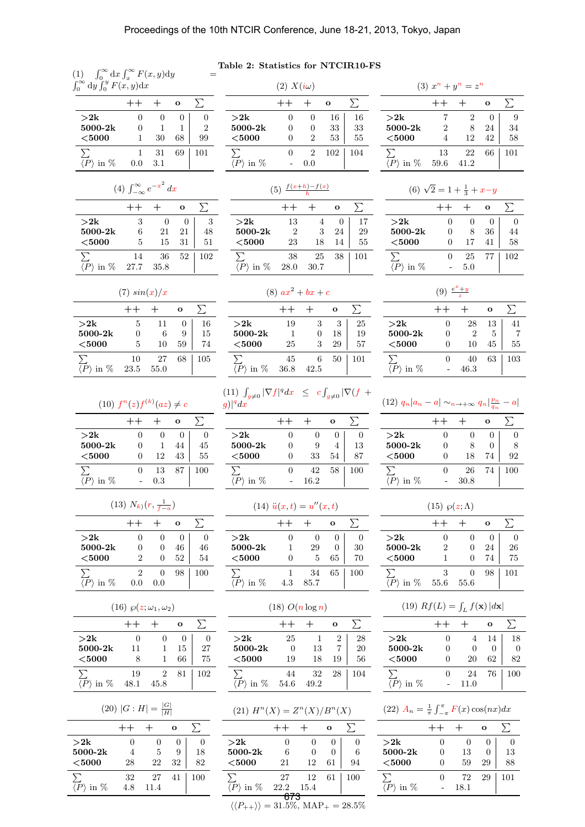(1)  $\int_0^\infty dx \int_x^\infty F(x, y) dy =$  $\int_0^\infty \mathrm{d}y \int_0^y F(x, y) \mathrm{d}x$ 

|          |     |     | $\Omega$     |                |
|----------|-----|-----|--------------|----------------|
| >2k      | 0   | 0   | $\mathbf{0}$ | 0              |
| 5000-2k  | 0   |     |              | $\overline{2}$ |
| $<$ 5000 |     | 30  | 68           | 99             |
| Σ.       |     | 31  | 69           | 101            |
| in $%$   | 0.0 | 3.1 |              |                |

| (4) $\int_{-\infty}^{\infty} e^{-x^2} dx$ |               |                                                |  |                |  |  |  |
|-------------------------------------------|---------------|------------------------------------------------|--|----------------|--|--|--|
|                                           |               | $++ +$ 0                                       |  |                |  |  |  |
| $>\!\!2k$                                 | $\mathcal{R}$ | $\begin{bmatrix} 1 & 0 \\ 0 & 0 \end{bmatrix}$ |  | $\frac{3}{48}$ |  |  |  |
| $2000 - 01$                               | $\epsilon$    |                                                |  |                |  |  |  |

| 5000-2k                          | 6  | 21         | 21 | 48            |
|----------------------------------|----|------------|----|---------------|
| $5000$                           | 5  | 15         | 31 | 51            |
| $\langle P \rangle$ in $\%$ 27.7 | 14 | 36<br>35.8 |    | $52 \mid 102$ |

Table 2: Statistics for NTCIR10-FS

<span id="page-6-0"></span>
$$
(2) X(i\omega)
$$

$$
(3) xn + yn = zn
$$

|                               |                |                | $\mathbf{o}$ |     |          |        |                |                | $\mathbf{o}$ |     |
|-------------------------------|----------------|----------------|--------------|-----|----------|--------|----------------|----------------|--------------|-----|
| >2k                           | $\theta$       | $\Omega$       | 16           | 16  | >2k      |        |                | $\overline{2}$ | $\Omega$     | 9   |
| 5000-2k                       |                | 0              | 33           | 33  | 5000-2k  |        | $\mathfrak{D}$ | 8              | 24           | 34  |
| $<$ 5000                      |                | $\overline{2}$ | 53           | 55  | $<$ 5000 |        |                | 12             | 42           | 58  |
| Σ                             | 0              | 2              | 102          | 104 |          |        | 13             | 22             | 66           | 101 |
| in $%$<br>$\langle P \rangle$ | $\overline{a}$ | 0.0            |              |     |          | in $%$ | 59.6           | 41.2           |              |     |

| $(5) \frac{f(x+h)-f(x)}{h}$ |                |      |          |     |  |  |  |
|-----------------------------|----------------|------|----------|-----|--|--|--|
|                             |                |      | $\Omega$ |     |  |  |  |
| $>\!\!2k$                   | 13             |      | $\theta$ | 17  |  |  |  |
| 5000-2k                     | $\overline{2}$ | 3    | 24       | 29  |  |  |  |
| $<$ 5000                    | 23             | 18   | 14       | 55  |  |  |  |
| $\sum$                      | 38             | 25   | 38       | 101 |  |  |  |
| in %                        | 28.0           | 30.7 |          |     |  |  |  |

| $<$ 5000                            | 0.     |     | $17 \quad 41 \mid 58$ |  |
|-------------------------------------|--------|-----|-----------------------|--|
|                                     | 0.     |     | 25 77 102             |  |
| $\overline{\langle P \rangle}$ in % | $\sim$ | 5.0 |                       |  |

(9)  $\frac{e^x + y}{z}$ 

 $- 46.3$ 

 $>2k$  0 0 0 0<br>5000-2k 0 8 36 44

 $5000 - 2k$ 

(6)  $\sqrt{2} = 1 + \frac{1}{3} + x - y$ 

 $++ +$  o  $\Sigma$ 

 $++ +$  o  $\Sigma$ 

P 0 40 63 103

|                                                |             |               | O            |                |
|------------------------------------------------|-------------|---------------|--------------|----------------|
| $\mathbf{>}2\mathrm{k}$<br>5000-2k<br>$<$ 5000 | 5<br>0<br>5 | 11<br>6<br>10 | 0<br>9<br>59 | 16<br>15<br>74 |
| ゝ∶<br>in $%$<br>$\langle P \rangle$            | 10<br>23.5  | 27<br>55.0    | 68           | 105            |

|           |      |      | $\Omega$ |     |
|-----------|------|------|----------|-----|
| $>\!\!2k$ | 19   | 3    | 3        | 25  |
| 5000-2k   | 1    | 0    | 18       | 19  |
| $<$ 5000  | 25   | 3    | 29       | 57  |
|           | 45   | 6    | 50       | 101 |
| in $%$    | 36.8 | 42.5 |          |     |

(11)  $\int_{g\neq 0} |\nabla f|^q dx \leq c$ R  $\int_{g\neq 0} |\nabla (f +$  $g)|^q dx$ 

| (12) $q_n  a_n - a  \sim_{n \to +\infty} q_n  \frac{p_n}{q_n} - a $ |      |    |     |
|---------------------------------------------------------------------|------|----|-----|
|                                                                     |      | റ  |     |
| >2k                                                                 |      |    |     |
| 5000-2k                                                             |      |    |     |
| $<$ 5000                                                            | 18   | 74 | 92  |
|                                                                     | 26   | 74 | 100 |
| in $%$                                                              | 30.8 |    |     |

| $(15)$ $\wp(z; \Lambda)$ |      |          |    |     |
|--------------------------|------|----------|----|-----|
|                          | $++$ |          | O  |     |
| >2k                      | 0    | 0        | O  |     |
| 5000-2k                  | 2    | $\Omega$ | 24 | 26  |
| $5000$                   | 1    | O        | 74 | 75  |
|                          | 3    | 0        | 98 | 101 |
| in %                     | 55.6 | 55.6     |    |     |

| (19) $Rf(L) = \int_L f(\mathbf{x})  d\mathbf{x} $ |  |
|---------------------------------------------------|--|
|---------------------------------------------------|--|

|           |              |      | O  |     |
|-----------|--------------|------|----|-----|
| $>\!\!2k$ | 0            |      | 14 | 18  |
| 5000-2k   | O            |      | 0  | ∩   |
| $<$ 5000  | $\mathbf{0}$ | 20   | 62 | 82  |
|           | 0            | 24   | 76 | 100 |
| in %      |              | 11.0 |    |     |

| (22) $A_n = \frac{1}{\pi} \int_{-\pi}^{\pi} F(x) \cos(nx) dx$ |  |  |  |  |
|---------------------------------------------------------------|--|--|--|--|
|---------------------------------------------------------------|--|--|--|--|

|             |              |      | $\Omega$ |     |
|-------------|--------------|------|----------|-----|
| $>\!\!2k$   | O            | O    | 0        |     |
| $5000 - 2k$ | 0            | 13   | 0        | 13  |
| $<$ 5000    | $\mathbf{0}$ | 59   | 29       | 88  |
| $\sum$      | $\mathbf{0}$ | 72   | 29       | 101 |
| in $%$      |              | 18.1 |          |     |
|             |              |      |          |     |

|                       |              |        | о  |     |
|-----------------------|--------------|--------|----|-----|
| >2k                   | 0            | $\cup$ | 0  | 0   |
| 5000-2k               | $\mathbf{0}$ |        | 44 | 45  |
| $<$ 5000              | $\mathbf{0}$ | 12     | 43 | 55  |
| Σ.                    | $\mathbf{0}$ | 13     | 87 | 100 |
| $^\prime P$<br>in $%$ |              | 0.3    |    |     |

| U<br>1V |  |
|---------|--|
|         |  |

|            |     |          | $\Omega$ |     |
|------------|-----|----------|----------|-----|
| $>\!\!2k$  | 0   | 0        |          | 0   |
| 5000-2k    | 0   | $\Omega$ | 46       | 46  |
| $<$ 5000   | 2   | $\Omega$ | 52       | 54  |
|            | 2   | 0        | 98       | 100 |
| $\%$<br>in | 0.0 | 0.0      |          |     |

| (16) $\wp(z;\omega_1,\omega_2)$ |      |      |          |     |  |
|---------------------------------|------|------|----------|-----|--|
|                                 |      |      | $\Omega$ |     |  |
| $>\!\!2k$                       | 0    |      | 0        | 0   |  |
| 5000-2k                         | 11   |      | 15       | 27  |  |
| $5000$                          | 8    |      | 66       | 75  |  |
|                                 | 19   | 2    | 81       | 102 |  |
| in $%$                          | 48.1 | 45.8 |          |     |  |

 $(20)$   $|G:H| = \frac{|G|}{|H|}$ 

|     |      | റ  |     |
|-----|------|----|-----|
|     |      |    |     |
|     | 5    | 9  | 18  |
| 28  | 22   | 32 | 82  |
| 32  | 27   | 41 | 100 |
| 4.8 | 11.4 |    |     |
|     |      |    |     |

|                 |   |      | $\Omega$ |     |
|-----------------|---|------|----------|-----|
| $\mathord{>}2k$ | 0 | 0    |          |     |
| 5000-2k         | 0 | 9    |          | 13  |
| $<$ 5000        | 0 | 33   | 54       | 87  |
|                 | 0 | 42   | 58       | 100 |
| in %            |   | 16.2 |          |     |

(14) 
$$
\ddot{u}(x,t) = u''(x,t)
$$

|           |     |      | റ  |     |
|-----------|-----|------|----|-----|
| $>\!\!2k$ |     | 0    |    |     |
| 5000-2k   |     | 29   |    | 30  |
| $<$ 5000  |     | 5    | 65 | 70  |
|           |     | 34   | 65 | 100 |
| in %      | 4.3 | 85.7 |    |     |

| $(18)$ $O(n \log n)$ |      |      |    |     |  |  |
|----------------------|------|------|----|-----|--|--|
| $^{++}$<br>റ         |      |      |    |     |  |  |
| >2k                  | 25   | 1    | 2  | 28  |  |  |
| 5000-2k              | 0    | 13   |    | 20  |  |  |
| $5000$               | 19   | 18   | 19 | 56  |  |  |
|                      | 44   | 32   | 28 | 104 |  |  |
| in %                 | 54.6 | 49.2 |    |     |  |  |

(21) 
$$
H^n(X) = Z^n(X)/B^n(X)
$$

|                                                                             |              |      | $\bullet$ |     |  |
|-----------------------------------------------------------------------------|--------------|------|-----------|-----|--|
| >2k                                                                         | $\mathbf{0}$ |      |           |     |  |
| $5000 - 2k$                                                                 | 6            |      |           | 6   |  |
| $5000$                                                                      | 21           | 12   | 61        | 94  |  |
|                                                                             | 27           | 12   | 61        | 100 |  |
| $\langle P \rangle$ in $\%$                                                 | 22.2         | 15.4 |           |     |  |
| $\langle \langle P_{++} \rangle \rangle = 31.5\%, \text{ MAP}_{+} = 28.5\%$ |              |      |           |     |  |

| $\sum$<br>$\overline{\langle P \rangle}$ in % |
|-----------------------------------------------|
| $(12)$ $q_n   a_n -$                          |
|                                               |
|                                               |

|    | O  |    |           |    | 0  |     |
|----|----|----|-----------|----|----|-----|
| IJ | ω  | 25 | $>\!\!2k$ | 28 | 13 |     |
|    | 18 | 19 | 5000-2k   |    |    |     |
| 3  | 29 | 57 | $<$ 5000  | 10 | 45 | 55  |
|    | 50 |    |           | 40 | 63 | 103 |

|      |              | (8) $ax^2 + bx + c$ |                 |  |
|------|--------------|---------------------|-----------------|--|
|      | $^{++}$      | $^+$                | о               |  |
|      | 19           | 3                   | 3               |  |
| 0-2k | $\mathbf{1}$ | $\Omega$            | $\frac{18}{29}$ |  |
| 00   | 25           | 3                   |                 |  |
|      | 45           | 6                   | 50              |  |
|      |              |                     |                 |  |